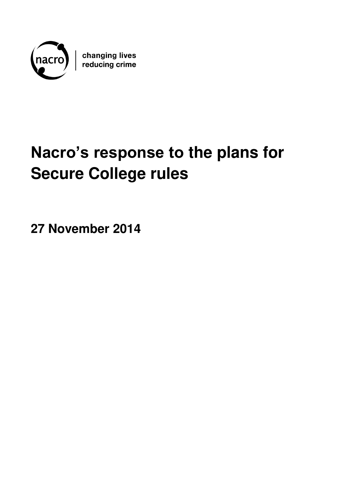

changing lives<br>reducing crime

# **Nacro's response to the plans for Secure College rules**

**27 November 2014**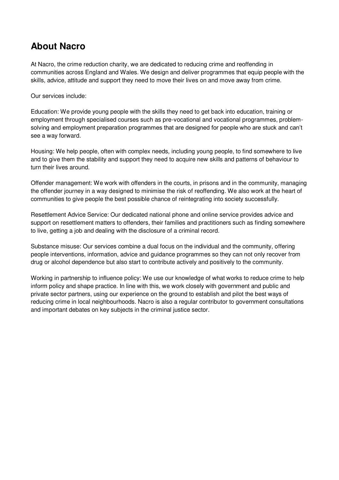# **About Nacro**

At Nacro, the crime reduction charity, we are dedicated to reducing crime and reoffending in communities across England and Wales. We design and deliver programmes that equip people with the skills, advice, attitude and support they need to move their lives on and move away from crime.

Our services include:

Education: We provide young people with the skills they need to get back into education, training or employment through specialised courses such as pre-vocational and vocational programmes, problemsolving and employment preparation programmes that are designed for people who are stuck and can't see a way forward.

Housing: We help people, often with complex needs, including young people, to find somewhere to live and to give them the stability and support they need to acquire new skills and patterns of behaviour to turn their lives around.

Offender management: We work with offenders in the courts, in prisons and in the community, managing the offender journey in a way designed to minimise the risk of reoffending. We also work at the heart of communities to give people the best possible chance of reintegrating into society successfully.

Resettlement Advice Service: Our dedicated national phone and online service provides advice and support on resettlement matters to offenders, their families and practitioners such as finding somewhere to live, getting a job and dealing with the disclosure of a criminal record.

Substance misuse: Our services combine a dual focus on the individual and the community, offering people interventions, information, advice and guidance programmes so they can not only recover from drug or alcohol dependence but also start to contribute actively and positively to the community.

Working in partnership to influence policy: We use our knowledge of what works to reduce crime to help inform policy and shape practice. In line with this, we work closely with government and public and private sector partners, using our experience on the ground to establish and pilot the best ways of reducing crime in local neighbourhoods. Nacro is also a regular contributor to government consultations and important debates on key subjects in the criminal justice sector.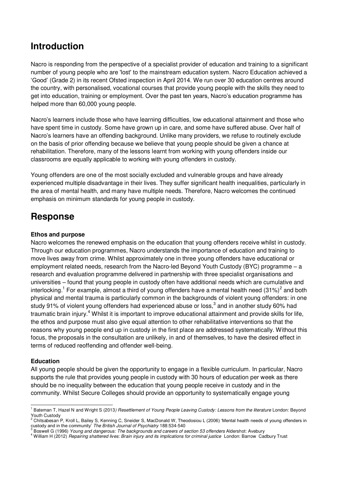# **Introduction**

Nacro is responding from the perspective of a specialist provider of education and training to a significant number of young people who are 'lost' to the mainstream education system. Nacro Education achieved a 'Good' (Grade 2) in its recent Ofsted inspection in April 2014. We run over 30 education centres around the country, with personalised, vocational courses that provide young people with the skills they need to get into education, training or employment. Over the past ten years, Nacro's education programme has helped more than 60,000 young people.

Nacro's learners include those who have learning difficulties, low educational attainment and those who have spent time in custody. Some have grown up in care, and some have suffered abuse. Over half of Nacro's learners have an offending background. Unlike many providers, we refuse to routinely exclude on the basis of prior offending because we believe that young people should be given a chance at rehabilitation. Therefore, many of the lessons learnt from working with young offenders inside our classrooms are equally applicable to working with young offenders in custody.

Young offenders are one of the most socially excluded and vulnerable groups and have already experienced multiple disadvantage in their lives. They suffer significant health inequalities, particularly in the area of mental health, and many have multiple needs. Therefore, Nacro welcomes the continued emphasis on minimum standards for young people in custody.

# **Response**

## **Ethos and purpose**

Nacro welcomes the renewed emphasis on the education that young offenders receive whilst in custody. Through our education programmes, Nacro understands the importance of education and training to move lives away from crime. Whilst approximately one in three young offenders have educational or employment related needs, research from the Nacro-led Beyond Youth Custody (BYC) programme – a research and evaluation programme delivered in partnership with three specialist organisations and universities – found that young people in custody often have additional needs which are cumulative and interlocking.<sup>1</sup> For example, almost a third of young offenders have a mental health need (31%)<sup>2</sup> and both physical and mental trauma is particularly common in the backgrounds of violent young offenders: in one study 91% of violent young offenders had experienced abuse or loss,<sup>3</sup> and in another study 60% had traumatic brain injury.<sup>4</sup> Whilst it is important to improve educational attainment and provide skills for life, the ethos and purpose must also give equal attention to other rehabilitative interventions so that the reasons why young people end up in custody in the first place are addressed systematically. Without this focus, the proposals in the consultation are unlikely, in and of themselves, to have the desired effect in terms of reduced reoffending and offender well-being.

## **Education**

All young people should be given the opportunity to engage in a flexible curriculum. In particular, Nacro supports the rule that provides young people in custody with 30 hours of education per week as there should be no inequality between the education that young people receive in custody and in the community. Whilst Secure Colleges should provide an opportunity to systematically engage young

 1 Bateman T, Hazel N and Wright S (2013*) Resettlement of Young People Leaving Custody: Lessons from the literature* London: Beyond Youth Custody

 $^2$  Chitsabesan P, Kroll L, Bailey S, Kenning C, Sneider S, MacDonald W, Theodosiou L (2006) 'Mental health needs of young offenders in custody and in the community' *The British Journal of Psychiatry* 188:534-540 3 Boswell G (1996) *Young and dangerous: The backgrounds and careers of section 53 offenders* Aldershot: Avebury

<sup>&</sup>lt;sup>4</sup> William H (2012) *Repairing shattered lives: Brain injury and its implications for criminal justice London: Barrow Cadbury Trust*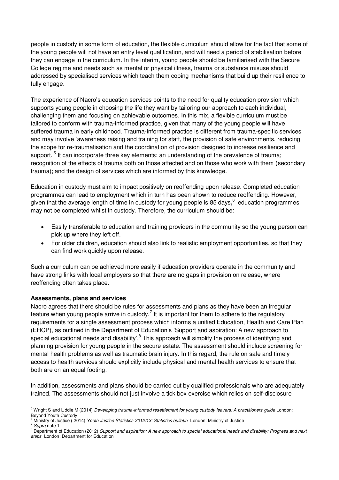people in custody in some form of education, the flexible curriculum should allow for the fact that some of the young people will not have an entry level qualification, and will need a period of stabilisation before they can engage in the curriculum. In the interim, young people should be familiarised with the Secure College regime and needs such as mental or physical illness, trauma or substance misuse should addressed by specialised services which teach them coping mechanisms that build up their resilience to fully engage.

The experience of Nacro's education services points to the need for quality education provision which supports young people in choosing the life they want by tailoring our approach to each individual, challenging them and focusing on achievable outcomes. In this mix, a flexible curriculum must be tailored to conform with trauma-informed practice, given that many of the young people will have suffered trauma in early childhood. Trauma-informed practice is different from trauma-specific services and may involve 'awareness raising and training for staff, the provision of safe environments, reducing the scope for re-traumatisation and the coordination of provision designed to increase resilience and support.<sup>5</sup> It can incorporate three key elements: an understanding of the prevalence of trauma; recognition of the effects of trauma both on those affected and on those who work with them (secondary trauma); and the design of services which are informed by this knowledge.

Education in custody must aim to impact positively on reoffending upon release. Completed education programmes can lead to employment which in turn has been shown to reduce reoffending. However, given that the average length of time in custody for young people is 85 days**,** 6 education programmes may not be completed whilst in custody. Therefore, the curriculum should be:

- Easily transferable to education and training providers in the community so the young person can pick up where they left off.
- For older children, education should also link to realistic employment opportunities, so that they can find work quickly upon release.

Such a curriculum can be achieved more easily if education providers operate in the community and have strong links with local employers so that there are no gaps in provision on release, where reoffending often takes place.

## **Assessments, plans and services**

Nacro agrees that there should be rules for assessments and plans as they have been an irregular feature when young people arrive in custody.<sup>7</sup> It is important for them to adhere to the regulatory requirements for a single assessment process which informs a unified Education, Health and Care Plan (EHCP), as outlined in the Department of Education's 'Support and aspiration: A new approach to special educational needs and disability'.<sup>8</sup> This approach will simplify the process of identifying and planning provision for young people in the secure estate. The assessment should include screening for mental health problems as well as traumatic brain injury. In this regard, the rule on safe and timely access to health services should explicitly include physical and mental health services to ensure that both are on an equal footing.

In addition, assessments and plans should be carried out by qualified professionals who are adequately trained. The assessments should not just involve a tick box exercise which relies on self-disclosure

 5 Wright S and Liddle M (2014) *Developing trauma-informed resettlement for young custody leavers: A practitioners guide* London: Beyond Youth Custody<br><sup>6</sup> Ministry of Justice (20

Ministry of Justice ( 2014) *Youth Justice Statistics 2012/13: Statistics bulletin* London: Ministry of Justice

<sup>7</sup> *Supra* note 1

<sup>&</sup>lt;sup>8</sup> Department of Education (2012) *Support and aspiration: A new approach to special educational needs and disability: Progress and next steps* London: Department for Education